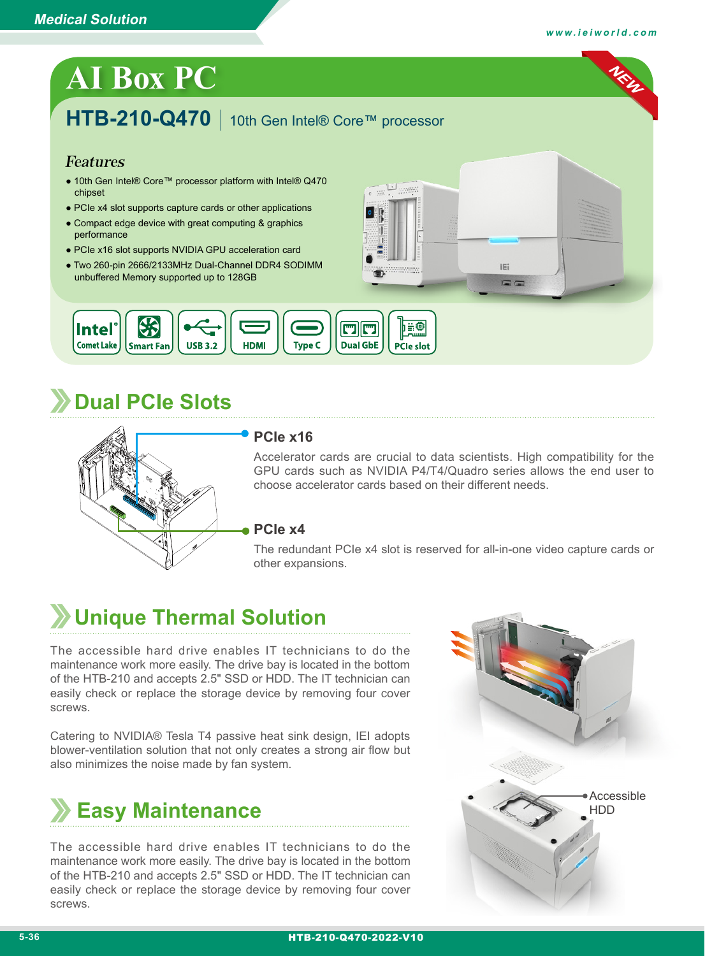**NEW**

# **AI Box PC**

## **HTB-210-Q470** 10th Gen Intel® Core™ processor

#### Features

- 10th Gen Intel® Core™ processor platform with Intel® Q470 chipset
- PCIe x4 slot supports capture cards or other applications
- Compact edge device with great computing & graphics performance
- PCIe x16 slot supports NVIDIA GPU acceleration card
- Two 260-pin 2666/2133MHz Dual-Channel DDR4 SODIMM unbuffered Memory supported up to 128GB



# **Dual PCIe Slots**



#### **PCIe x16**

Accelerator cards are crucial to data scientists. High compatibility for the GPU cards such as NVIDIA P4/T4/Quadro series allows the end user to choose accelerator cards based on their different needs.

iE:

#### **PCIe x4**

The redundant PCIe x4 slot is reserved for all-in-one video capture cards or other expansions.

# **Unique Thermal Solution**

The accessible hard drive enables IT technicians to do the maintenance work more easily. The drive bay is located in the bottom of the HTB-210 and accepts 2.5" SSD or HDD. The IT technician can easily check or replace the storage device by removing four cover screws.

Catering to NVIDIA® Tesla T4 passive heat sink design, IEI adopts blower-ventilation solution that not only creates a strong air flow but also minimizes the noise made by fan system.



The accessible hard drive enables IT technicians to do the maintenance work more easily. The drive bay is located in the bottom of the HTB-210 and accepts 2.5" SSD or HDD. The IT technician can easily check or replace the storage device by removing four cover screws.

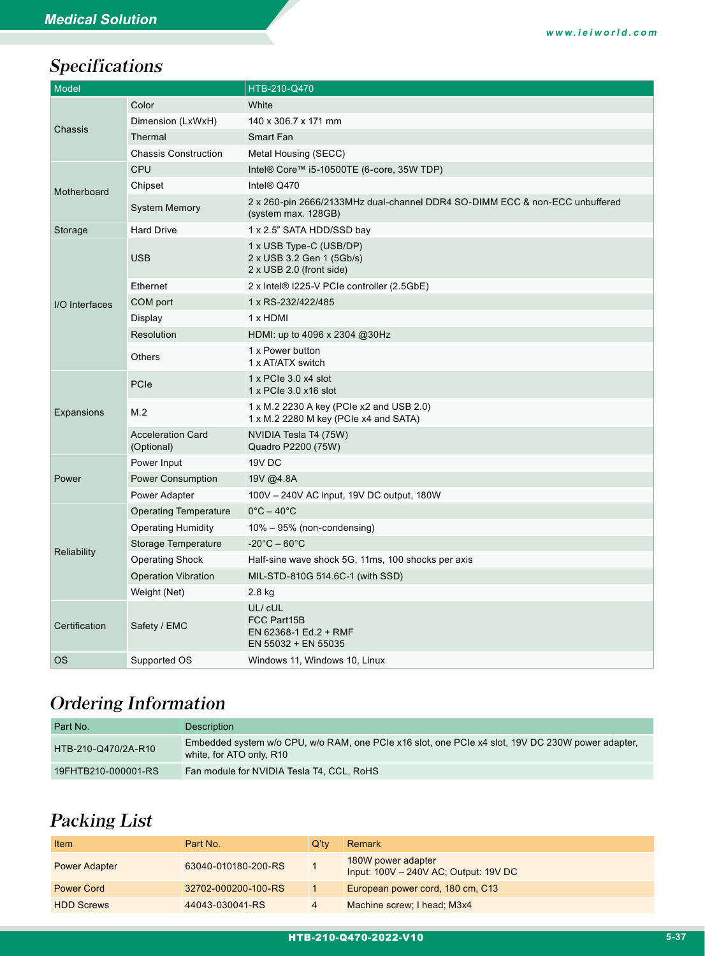## Specifications

| Model          |                                        | HTB-210-Q470                                                                                       |  |
|----------------|----------------------------------------|----------------------------------------------------------------------------------------------------|--|
| Chassis        | Color                                  | White                                                                                              |  |
|                | Dimension (LxWxH)                      | 140 x 306.7 x 171 mm                                                                               |  |
|                | Thermal                                | Smart Fan                                                                                          |  |
|                | <b>Chassis Construction</b>            | Metal Housing (SECC)                                                                               |  |
| Motherboard    | CPU                                    | Intel® Core™ i5-10500TE (6-core, 35W TDP)                                                          |  |
|                | Chipset                                | Intel <sup>®</sup> Q470                                                                            |  |
|                | <b>System Memory</b>                   | 2 x 260-pin 2666/2133MHz dual-channel DDR4 SO-DIMM ECC & non-ECC unbuffered<br>(system max. 128GB) |  |
| Storage        | <b>Hard Drive</b>                      | 1 x 2.5" SATA HDD/SSD bay                                                                          |  |
| I/O Interfaces | <b>USB</b>                             | 1 x USB Type-C (USB/DP)<br>2 x USB 3.2 Gen 1 (5Gb/s)<br>2 x USB 2.0 (front side)                   |  |
|                | Ethernet                               | 2 x Intel® I225-V PCIe controller (2.5GbE)                                                         |  |
|                | COM port                               | 1 x RS-232/422/485                                                                                 |  |
|                | Display                                | 1 x HDMI                                                                                           |  |
|                | Resolution                             | HDMI: up to 4096 x 2304 @30Hz                                                                      |  |
|                | <b>Others</b>                          | 1 x Power button<br>1 x AT/ATX switch                                                              |  |
| Expansions     | PCIe                                   | $1 \times$ PCIe 3.0 $\times$ 4 slot<br>1 x PCIe 3.0 x16 slot                                       |  |
|                | M.2                                    | 1 x M.2 2230 A key (PCIe x2 and USB 2.0)<br>1 x M.2 2280 M key (PCIe x4 and SATA)                  |  |
|                | <b>Acceleration Card</b><br>(Optional) | NVIDIA Tesla T4 (75W)<br>Quadro P2200 (75W)                                                        |  |
|                | Power Input                            | 19V DC                                                                                             |  |
| Power          | <b>Power Consumption</b>               | 19V @4.8A                                                                                          |  |
|                | Power Adapter                          | 100V - 240V AC input, 19V DC output, 180W                                                          |  |
| Reliability    | <b>Operating Temperature</b>           | $0^{\circ}$ C – 40 $^{\circ}$ C                                                                    |  |
|                | <b>Operating Humidity</b>              | $10\% - 95\%$ (non-condensing)                                                                     |  |
|                | Storage Temperature                    | $-20^{\circ}$ C $-60^{\circ}$ C                                                                    |  |
|                | <b>Operating Shock</b>                 | Half-sine wave shock 5G, 11ms, 100 shocks per axis                                                 |  |
|                | <b>Operation Vibration</b>             | MIL-STD-810G 514.6C-1 (with SSD)                                                                   |  |
|                | Weight (Net)                           | 2.8 kg                                                                                             |  |
| Certification  | Safety / EMC                           | UL/ cUL<br><b>FCC Part15B</b><br>EN 62368-1 Ed.2 + RMF<br>EN 55032 + EN 55035                      |  |
| ОS             | Supported OS                           | Windows 11, Windows 10, Linux                                                                      |  |

## Ordering Information

| Part No.            | <b>Description</b>                                                                                                            |
|---------------------|-------------------------------------------------------------------------------------------------------------------------------|
| HTB-210-Q470/2A-R10 | Embedded system w/o CPU, w/o RAM, one PCIe x16 slot, one PCIe x4 slot, 19V DC 230W power adapter,<br>white, for ATO only, R10 |
| 19FHTB210-000001-RS | Fan module for NVIDIA Tesla T4, CCL, RoHS                                                                                     |

### Packing List

| Item                 | Part No.            | $Q^{\prime}$ tv | Remark                                                      |
|----------------------|---------------------|-----------------|-------------------------------------------------------------|
| <b>Power Adapter</b> | 63040-010180-200-RS |                 | 180W power adapter<br>Input: 100V - 240V AC; Output: 19V DC |
| <b>Power Cord</b>    | 32702-000200-100-RS |                 | European power cord, 180 cm, C13                            |
| <b>HDD Screws</b>    | 44043-030041-RS     | 4               | Machine screw; I head; M3x4                                 |